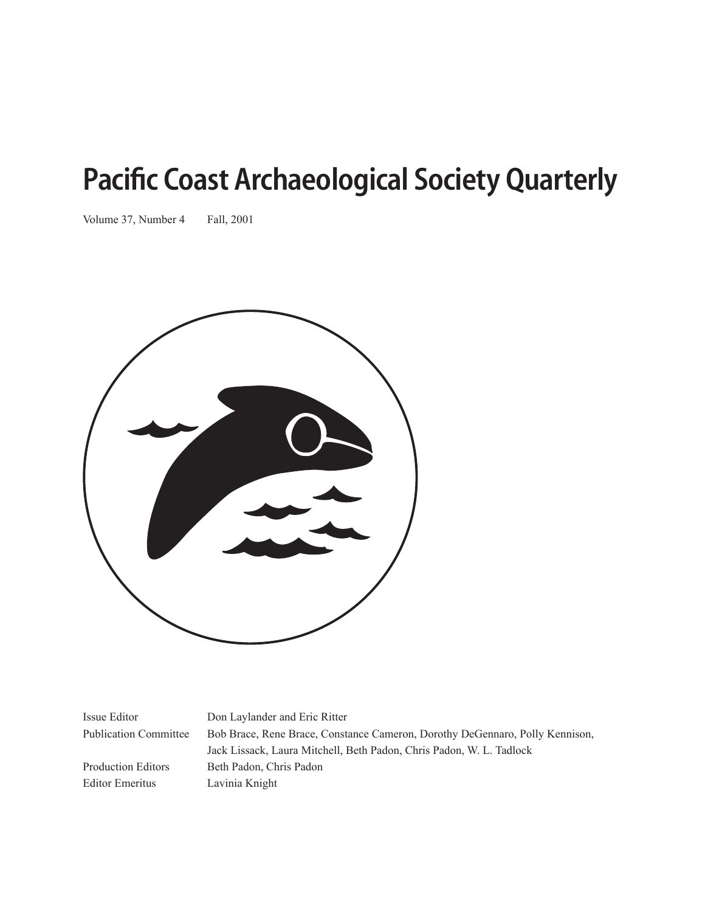# Pacific Coast Archaeological Society Quarterly

Volume 37, Number 4 Fall, 2001



Issue Editor Don Laylander and Eric Ritter

Editor Emeritus Lavinia Knight

Publication Committee Bob Brace, Rene Brace, Constance Cameron, Dorothy DeGennaro, Polly Kennison, Jack Lissack, Laura Mitchell, Beth Padon, Chris Padon, W. L. Tadlock Production Editors Beth Padon, Chris Padon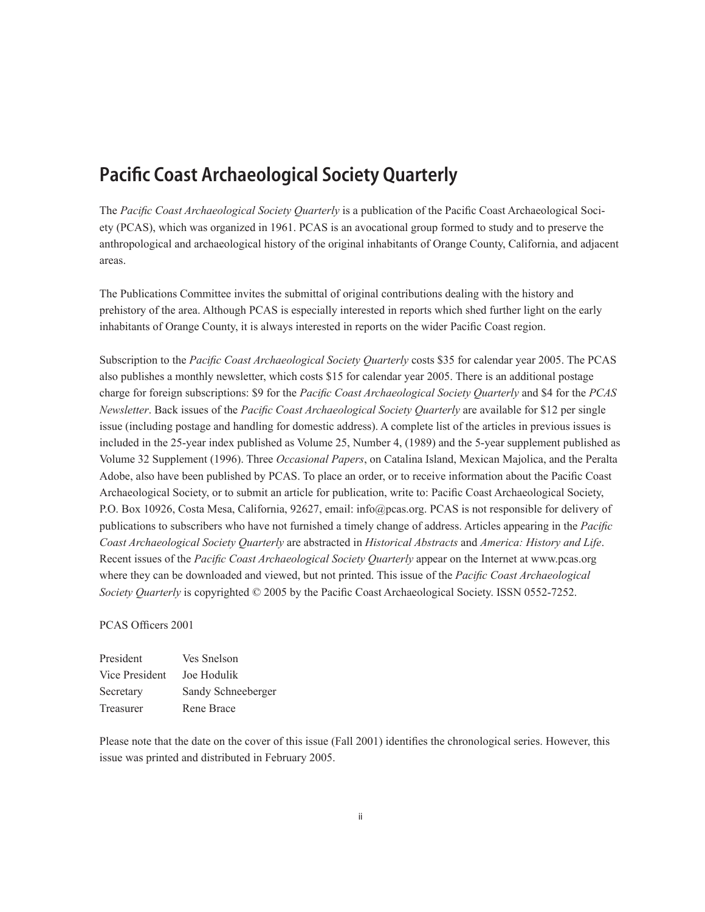## Pacific Coast Archaeological Society Quarterly

The *Pacific Coast Archaeological Society Quarterly* is a publication of the Pacific Coast Archaeological Society (PCAS), which was organized in 1961. PCAS is an avocational group formed to study and to preserve the anthropological and archaeological history of the original inhabitants of Orange County, California, and adjacent areas.

The Publications Committee invites the submittal of original contributions dealing with the history and prehistory of the area. Although PCAS is especially interested in reports which shed further light on the early inhabitants of Orange County, it is always interested in reports on the wider Pacific Coast region.

Subscription to the *Pacific Coast Archaeological Society Quarterly* costs \$35 for calendar year 2005. The PCAS also publishes a monthly newsletter, which costs \$15 for calendar year 2005. There is an additional postage charge for foreign subscriptions: \$9 for the *Pacific Coast Archaeological Society Quarterly* and \$4 for the *PCAS Newsletter*. Back issues of the *Pacific Coast Archaeological Society Quarterly* are available for \$12 per single issue (including postage and handling for domestic address). A complete list of the articles in previous issues is included in the 25-year index published as Volume 25, Number 4, (1989) and the 5-year supplement published as Volume 32 Supplement (1996). Three *Occasional Papers*, on Catalina Island, Mexican Majolica, and the Peralta Adobe, also have been published by PCAS. To place an order, or to receive information about the Pacific Coast Archaeological Society, or to submit an article for publication, write to: Pacific Coast Archaeological Society, P.O. Box 10926, Costa Mesa, California, 92627, email: info@pcas.org. PCAS is not responsible for delivery of publications to subscribers who have not furnished a timely change of address. Articles appearing in the *Pacific Coast Archaeological Society Quarterly* are abstracted in *Historical Abstracts* and *America: History and Life*. Recent issues of the *Pacific Coast Archaeological Society Quarterly* appear on the Internet at www.pcas.org where they can be downloaded and viewed, but not printed. This issue of the *Pacific Coast Archaeological Society Quarterly* is copyrighted © 2005 by the Pacific Coast Archaeological Society. ISSN 0552-7252.

#### PCAS Officers 2001

| President      | Ves Snelson        |
|----------------|--------------------|
| Vice President | Joe Hodulik        |
| Secretary      | Sandy Schneeberger |
| Treasurer      | Rene Brace         |

Please note that the date on the cover of this issue (Fall 2001) identifies the chronological series. However, this issue was printed and distributed in February 2005.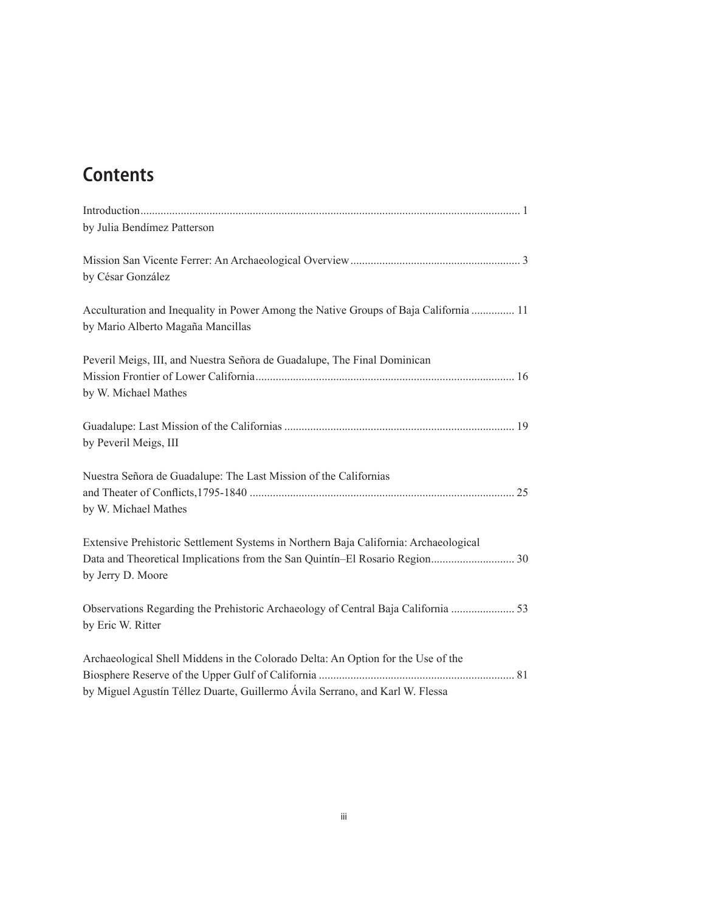# **Contents**

| by Julia Bendímez Patterson                                                                                               |  |
|---------------------------------------------------------------------------------------------------------------------------|--|
|                                                                                                                           |  |
| by César González                                                                                                         |  |
| Acculturation and Inequality in Power Among the Native Groups of Baja California  11<br>by Mario Alberto Magaña Mancillas |  |
| Peveril Meigs, III, and Nuestra Señora de Guadalupe, The Final Dominican                                                  |  |
| by W. Michael Mathes                                                                                                      |  |
| by Peveril Meigs, III                                                                                                     |  |
| Nuestra Señora de Guadalupe: The Last Mission of the Californias                                                          |  |
|                                                                                                                           |  |
| by W. Michael Mathes                                                                                                      |  |
| Extensive Prehistoric Settlement Systems in Northern Baja California: Archaeological                                      |  |
| by Jerry D. Moore                                                                                                         |  |
| Observations Regarding the Prehistoric Archaeology of Central Baja California  53<br>by Eric W. Ritter                    |  |
|                                                                                                                           |  |
| Archaeological Shell Middens in the Colorado Delta: An Option for the Use of the                                          |  |
|                                                                                                                           |  |
| by Miguel Agustín Téllez Duarte, Guillermo Ávila Serrano, and Karl W. Flessa                                              |  |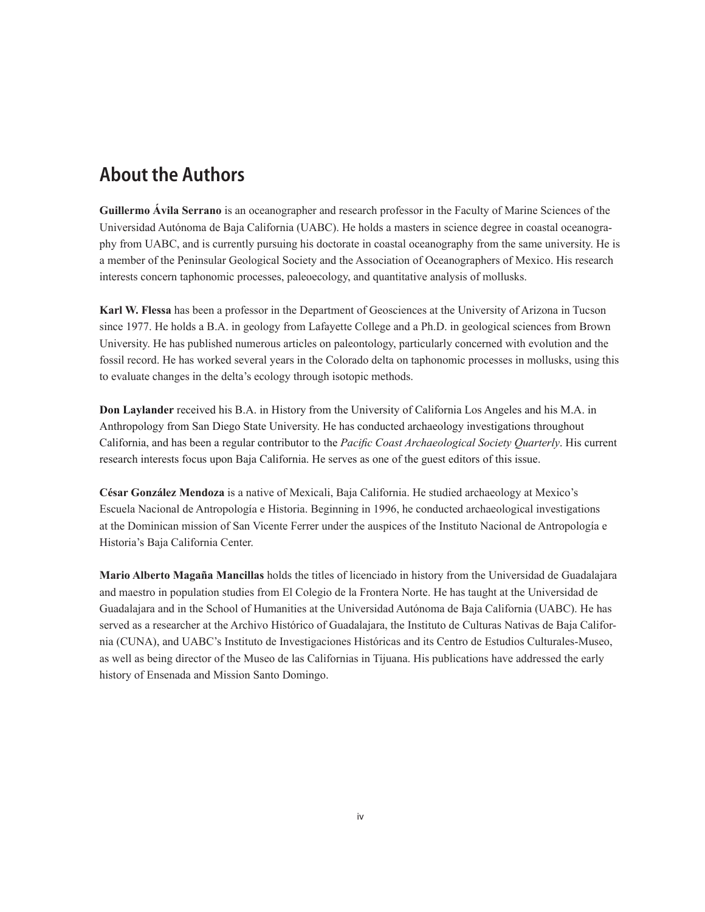### About the Authors

**Guillermo Ávila Serrano** is an oceanographer and research professor in the Faculty of Marine Sciences of the Universidad Autónoma de Baja California (UABC). He holds a masters in science degree in coastal oceanography from UABC, and is currently pursuing his doctorate in coastal oceanography from the same university. He is a member of the Peninsular Geological Society and the Association of Oceanographers of Mexico. His research interests concern taphonomic processes, paleoecology, and quantitative analysis of mollusks.

**Karl W. Flessa** has been a professor in the Department of Geosciences at the University of Arizona in Tucson since 1977. He holds a B.A. in geology from Lafayette College and a Ph.D. in geological sciences from Brown University. He has published numerous articles on paleontology, particularly concerned with evolution and the fossil record. He has worked several years in the Colorado delta on taphonomic processes in mollusks, using this to evaluate changes in the delta's ecology through isotopic methods.

**Don Laylander** received his B.A. in History from the University of California Los Angeles and his M.A. in Anthropology from San Diego State University. He has conducted archaeology investigations throughout California, and has been a regular contributor to the *Pacific Coast Archaeological Society Quarterly*. His current research interests focus upon Baja California. He serves as one of the guest editors of this issue.

**César González Mendoza** is a native of Mexicali, Baja California. He studied archaeology at Mexico's Escuela Nacional de Antropología e Historia. Beginning in 1996, he conducted archaeological investigations at the Dominican mission of San Vicente Ferrer under the auspices of the Instituto Nacional de Antropología e Historia's Baja California Center.

**Mario Alberto Magaña Mancillas** holds the titles of licenciado in history from the Universidad de Guadalajara and maestro in population studies from El Colegio de la Frontera Norte. He has taught at the Universidad de Guadalajara and in the School of Humanities at the Universidad Autónoma de Baja California (UABC). He has served as a researcher at the Archivo Histórico of Guadalajara, the Instituto de Culturas Nativas de Baja California (CUNA), and UABC's Instituto de Investigaciones Históricas and its Centro de Estudios Culturales-Museo, as well as being director of the Museo de las Californias in Tijuana. His publications have addressed the early history of Ensenada and Mission Santo Domingo.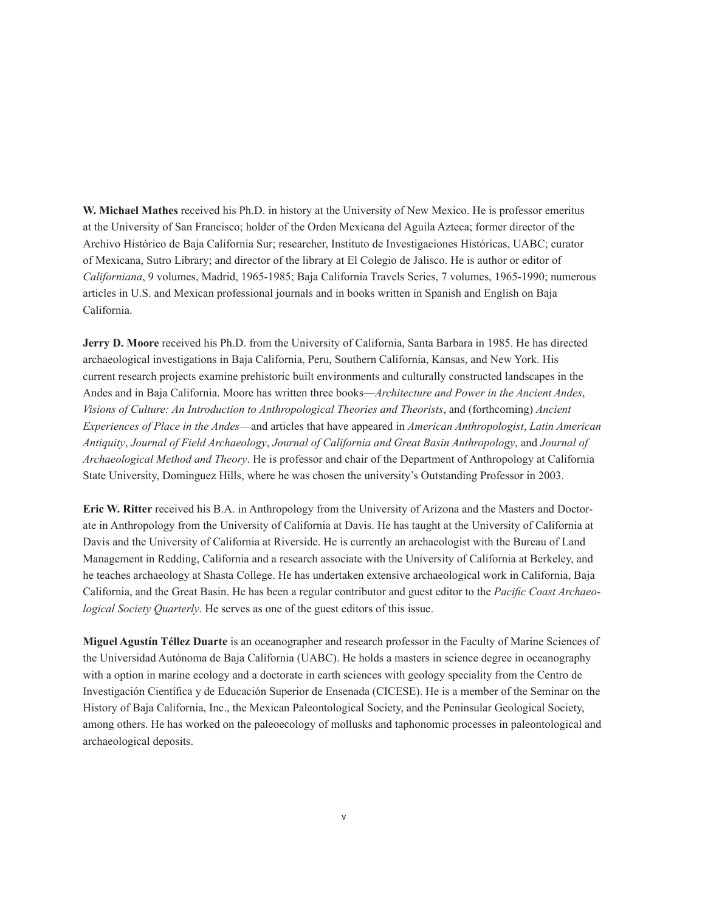**W. Michael Mathes** received his Ph.D. in history at the University of New Mexico. He is professor emeritus at the University of San Francisco; holder of the Orden Mexicana del Aguila Azteca; former director of the Archivo Histórico de Baja California Sur; researcher, Instituto de Investigaciones Históricas, UABC; curator of Mexicana, Sutro Library; and director of the library at El Colegio de Jalisco. He is author or editor of *Californiana*, 9 volumes, Madrid, 1965-1985; Baja California Travels Series, 7 volumes, 1965-1990; numerous articles in U.S. and Mexican professional journals and in books written in Spanish and English on Baja California.

**Jerry D. Moore** received his Ph.D. from the University of California, Santa Barbara in 1985. He has directed archaeological investigations in Baja California, Peru, Southern California, Kansas, and New York. His current research projects examine prehistoric built environments and culturally constructed landscapes in the Andes and in Baja California. Moore has written three books—*Architecture and Power in the Ancient Andes*, *Visions of Culture: An Introduction to Anthropological Theories and Theorists*, and (forthcoming) *Ancient Experiences of Place in the Andes*—and articles that have appeared in *American Anthropologist*, *Latin American Antiquity*, *Journal of Field Archaeology*, *Journal of California and Great Basin Anthropology*, and *Journal of Archaeological Method and Theory*. He is professor and chair of the Department of Anthropology at California State University, Dominguez Hills, where he was chosen the university's Outstanding Professor in 2003.

**Eric W. Ritter** received his B.A. in Anthropology from the University of Arizona and the Masters and Doctorate in Anthropology from the University of California at Davis. He has taught at the University of California at Davis and the University of California at Riverside. He is currently an archaeologist with the Bureau of Land Management in Redding, California and a research associate with the University of California at Berkeley, and he teaches archaeology at Shasta College. He has undertaken extensive archaeological work in California, Baja California, and the Great Basin. He has been a regular contributor and guest editor to the *Pacific Coast Archaeological Society Quarterly*. He serves as one of the guest editors of this issue.

**Miguel Agustín Téllez Duarte** is an oceanographer and research professor in the Faculty of Marine Sciences of the Universidad Autónoma de Baja California (UABC). He holds a masters in science degree in oceanography with a option in marine ecology and a doctorate in earth sciences with geology speciality from the Centro de Investigación Científica y de Educación Superior de Ensenada (CICESE). He is a member of the Seminar on the History of Baja California, Inc., the Mexican Paleontological Society, and the Peninsular Geological Society, among others. He has worked on the paleoecology of mollusks and taphonomic processes in paleontological and archaeological deposits.